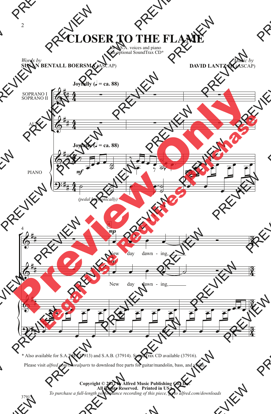## **CLOSER TO THE FLAME**

for S.S.A. voices and piano with optional SoundTrax CD\*

*Words by* **SUSAN BENTALL BOERSMA** (ASCAP)

*Music by* **DAVID LANTZ III** (ASCAP)



\* Also available for S.A.T.B. (37913) and S.A.B. (37914). SoundTrax CD available (37916).

Please visit *alfred.com/choralparts* to download free parts for guitar/mandolin, bass, and violin.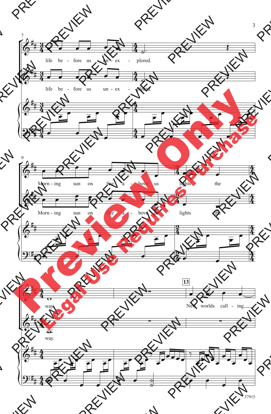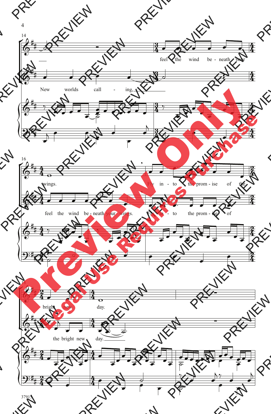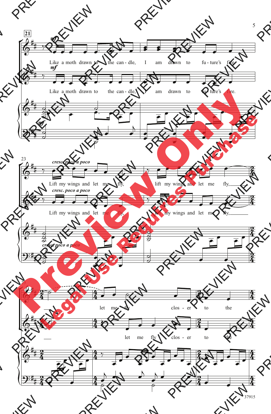![](_page_3_Figure_0.jpeg)

37915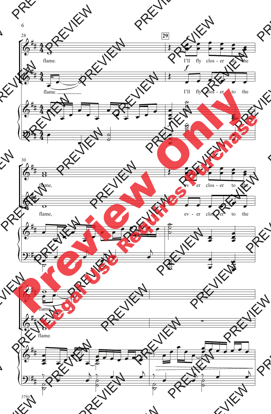![](_page_4_Figure_0.jpeg)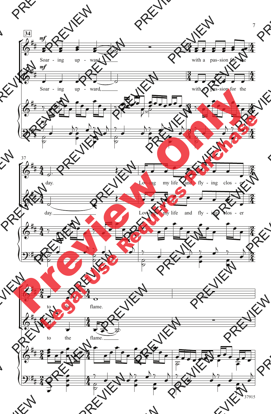![](_page_5_Figure_0.jpeg)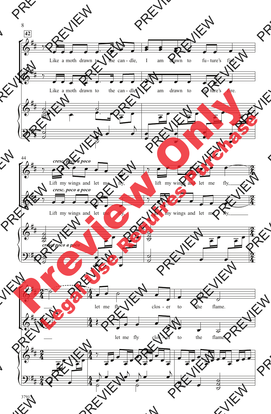![](_page_6_Figure_0.jpeg)

37915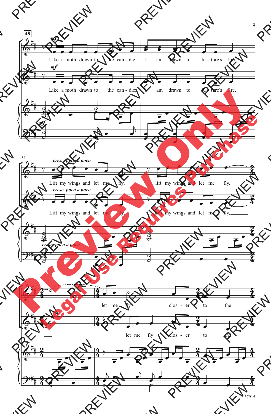![](_page_7_Figure_0.jpeg)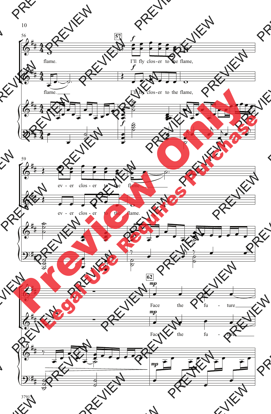![](_page_8_Figure_0.jpeg)